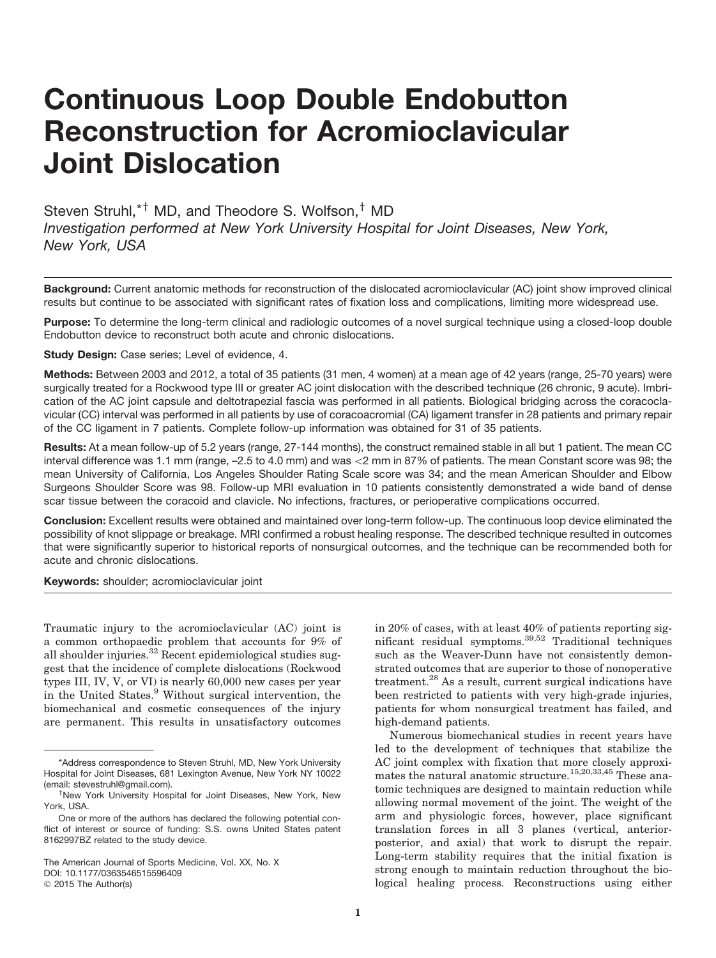# Continuous Loop Double Endobutton Reconstruction for Acromioclavicular Joint Dislocation

Steven Struhl,<sup>\*†</sup> MD, and Theodore S. Wolfson,<sup>†</sup> MD *Investigation performed at New York University Hospital for Joint Diseases, New York, New York, USA*

Background: Current anatomic methods for reconstruction of the dislocated acromioclavicular (AC) joint show improved clinical results but continue to be associated with significant rates of fixation loss and complications, limiting more widespread use.

Purpose: To determine the long-term clinical and radiologic outcomes of a novel surgical technique using a closed-loop double Endobutton device to reconstruct both acute and chronic dislocations.

Study Design: Case series: Level of evidence, 4.

Methods: Between 2003 and 2012, a total of 35 patients (31 men, 4 women) at a mean age of 42 years (range, 25-70 years) were surgically treated for a Rockwood type III or greater AC joint dislocation with the described technique (26 chronic, 9 acute). Imbrication of the AC joint capsule and deltotrapezial fascia was performed in all patients. Biological bridging across the coracoclavicular (CC) interval was performed in all patients by use of coracoacromial (CA) ligament transfer in 28 patients and primary repair of the CC ligament in 7 patients. Complete follow-up information was obtained for 31 of 35 patients.

Results: At a mean follow-up of 5.2 years (range, 27-144 months), the construct remained stable in all but 1 patient. The mean CC interval difference was 1.1 mm (range, -2.5 to 4.0 mm) and was <2 mm in 87% of patients. The mean Constant score was 98; the mean University of California, Los Angeles Shoulder Rating Scale score was 34; and the mean American Shoulder and Elbow Surgeons Shoulder Score was 98. Follow-up MRI evaluation in 10 patients consistently demonstrated a wide band of dense scar tissue between the coracoid and clavicle. No infections, fractures, or perioperative complications occurred.

Conclusion: Excellent results were obtained and maintained over long-term follow-up. The continuous loop device eliminated the possibility of knot slippage or breakage. MRI confirmed a robust healing response. The described technique resulted in outcomes that were significantly superior to historical reports of nonsurgical outcomes, and the technique can be recommended both for acute and chronic dislocations.

Keywords: shoulder; acromioclavicular joint

Traumatic injury to the acromioclavicular (AC) joint is a common orthopaedic problem that accounts for 9% of all shoulder injuries.<sup>32</sup> Recent epidemiological studies suggest that the incidence of complete dislocations (Rockwood types III, IV, V, or VI) is nearly 60,000 new cases per year in the United States.<sup>9</sup> Without surgical intervention, the biomechanical and cosmetic consequences of the injury are permanent. This results in unsatisfactory outcomes

The American Journal of Sports Medicine, Vol. XX, No. X DOI: 10.1177/0363546515596409 © 2015 The Author(s)

in 20% of cases, with at least 40% of patients reporting significant residual symptoms.39,52 Traditional techniques such as the Weaver-Dunn have not consistently demonstrated outcomes that are superior to those of nonoperative treatment.<sup>28</sup> As a result, current surgical indications have been restricted to patients with very high-grade injuries, patients for whom nonsurgical treatment has failed, and high-demand patients.

Numerous biomechanical studies in recent years have led to the development of techniques that stabilize the AC joint complex with fixation that more closely approximates the natural anatomic structure.<sup>15,20,33,45</sup> These anatomic techniques are designed to maintain reduction while allowing normal movement of the joint. The weight of the arm and physiologic forces, however, place significant translation forces in all 3 planes (vertical, anteriorposterior, and axial) that work to disrupt the repair. Long-term stability requires that the initial fixation is strong enough to maintain reduction throughout the biological healing process. Reconstructions using either

<sup>\*</sup>Address correspondence to Steven Struhl, MD, New York University Hospital for Joint Diseases, 681 Lexington Avenue, New York NY 10022 (email: stevestruhl@gmail.com).

<sup>&</sup>lt;sup>†</sup>New York University Hospital for Joint Diseases, New York, New York, USA.

One or more of the authors has declared the following potential conflict of interest or source of funding: S.S. owns United States patent 8162997BZ related to the study device.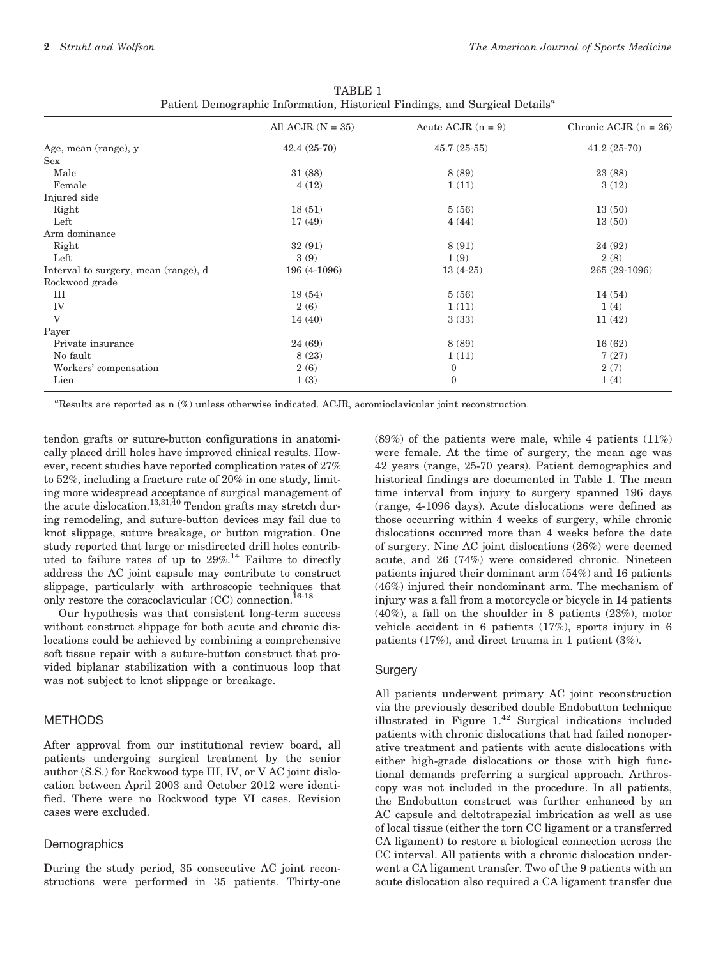|                                      | All ACJR $(N = 35)$ | Acute ACJR $(n = 9)$ | Chronic ACJR $(n = 26)$ |
|--------------------------------------|---------------------|----------------------|-------------------------|
| Age, mean (range), y                 | $42.4(25-70)$       | $45.7(25-55)$        | $41.2(25-70)$           |
| Sex                                  |                     |                      |                         |
| Male                                 | 31(88)              | 8 (89)               | 23 (88)                 |
| Female                               | 4(12)               | 1(11)                | 3(12)                   |
| Injured side                         |                     |                      |                         |
| Right                                | 18(51)              | 5(56)                | 13(50)                  |
| Left                                 | 17(49)              | 4(44)                | 13(50)                  |
| Arm dominance                        |                     |                      |                         |
| Right                                | 32(91)              | 8(91)                | 24 (92)                 |
| Left                                 | 3(9)                | 1(9)                 | 2(8)                    |
| Interval to surgery, mean (range), d | 196 (4-1096)        | $13(4-25)$           | 265 (29-1096)           |
| Rockwood grade                       |                     |                      |                         |
| III                                  | 19(54)              | 5(56)                | 14(54)                  |
| IV                                   | 2(6)                | 1(11)                | 1(4)                    |
| V                                    | 14(40)              | 3(33)                | 11(42)                  |
| Payer                                |                     |                      |                         |
| Private insurance                    | 24(69)              | 8(89)                | 16(62)                  |
| No fault                             | 8(23)               | 1(11)                | 7(27)                   |
| Workers' compensation                | 2(6)                | $\boldsymbol{0}$     | 2(7)                    |
| Lien                                 | 1(3)                | $\mathbf{0}$         | 1(4)                    |

TABLE 1 Patient Demographic Information, Historical Findings, and Surgical Details<sup>a</sup>

a Results are reported as n (%) unless otherwise indicated. ACJR, acromioclavicular joint reconstruction.

tendon grafts or suture-button configurations in anatomically placed drill holes have improved clinical results. However, recent studies have reported complication rates of 27% to 52%, including a fracture rate of 20% in one study, limiting more widespread acceptance of surgical management of the acute dislocation.<sup>13,31,40</sup> Tendon grafts may stretch during remodeling, and suture-button devices may fail due to knot slippage, suture breakage, or button migration. One study reported that large or misdirected drill holes contributed to failure rates of up to  $29\%$ .<sup>14</sup> Failure to directly address the AC joint capsule may contribute to construct slippage, particularly with arthroscopic techniques that only restore the coracoclavicular  $(CC)$  connection.<sup>16-18</sup>

Our hypothesis was that consistent long-term success without construct slippage for both acute and chronic dislocations could be achieved by combining a comprehensive soft tissue repair with a suture-button construct that provided biplanar stabilization with a continuous loop that was not subject to knot slippage or breakage.

# METHODS

After approval from our institutional review board, all patients undergoing surgical treatment by the senior author (S.S.) for Rockwood type III, IV, or V AC joint dislocation between April 2003 and October 2012 were identified. There were no Rockwood type VI cases. Revision cases were excluded.

## **Demographics**

During the study period, 35 consecutive AC joint reconstructions were performed in 35 patients. Thirty-one  $(89%)$  of the patients were male, while 4 patients  $(11%)$ were female. At the time of surgery, the mean age was 42 years (range, 25-70 years). Patient demographics and historical findings are documented in Table 1. The mean time interval from injury to surgery spanned 196 days (range, 4-1096 days). Acute dislocations were defined as those occurring within 4 weeks of surgery, while chronic dislocations occurred more than 4 weeks before the date of surgery. Nine AC joint dislocations (26%) were deemed acute, and 26 (74%) were considered chronic. Nineteen patients injured their dominant arm (54%) and 16 patients (46%) injured their nondominant arm. The mechanism of injury was a fall from a motorcycle or bicycle in 14 patients (40%), a fall on the shoulder in 8 patients (23%), motor vehicle accident in 6 patients (17%), sports injury in 6 patients (17%), and direct trauma in 1 patient (3%).

## **Surgery**

All patients underwent primary AC joint reconstruction via the previously described double Endobutton technique illustrated in Figure 1.<sup>42</sup> Surgical indications included patients with chronic dislocations that had failed nonoperative treatment and patients with acute dislocations with either high-grade dislocations or those with high functional demands preferring a surgical approach. Arthroscopy was not included in the procedure. In all patients, the Endobutton construct was further enhanced by an AC capsule and deltotrapezial imbrication as well as use of local tissue (either the torn CC ligament or a transferred CA ligament) to restore a biological connection across the CC interval. All patients with a chronic dislocation underwent a CA ligament transfer. Two of the 9 patients with an acute dislocation also required a CA ligament transfer due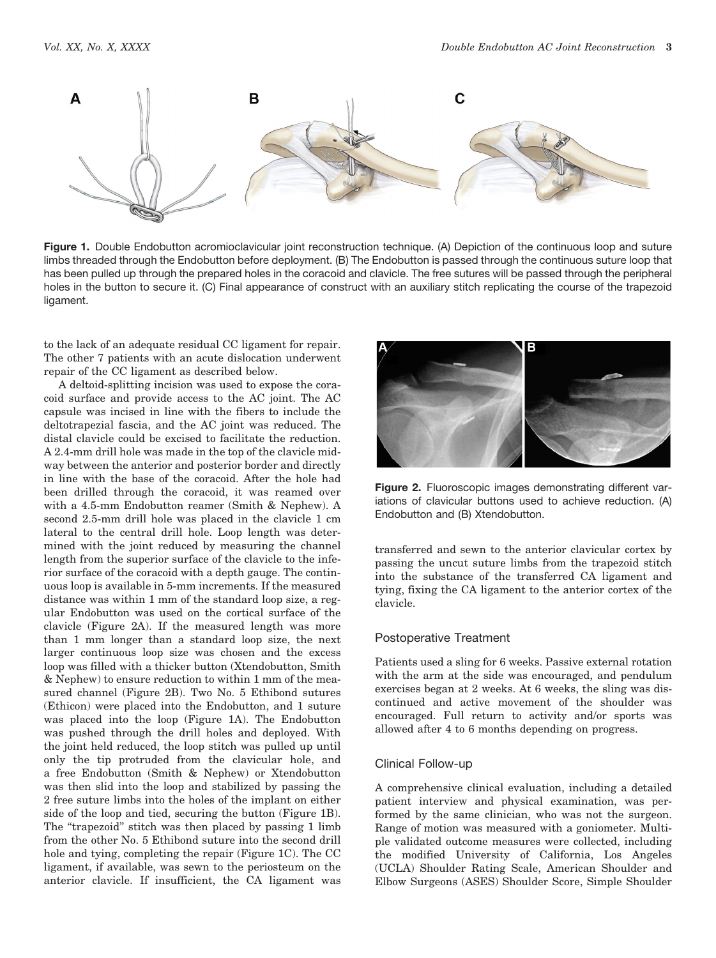

Figure 1. Double Endobutton acromioclavicular joint reconstruction technique. (A) Depiction of the continuous loop and suture limbs threaded through the Endobutton before deployment. (B) The Endobutton is passed through the continuous suture loop that has been pulled up through the prepared holes in the coracoid and clavicle. The free sutures will be passed through the peripheral holes in the button to secure it. (C) Final appearance of construct with an auxiliary stitch replicating the course of the trapezoid ligament.

to the lack of an adequate residual CC ligament for repair. The other 7 patients with an acute dislocation underwent repair of the CC ligament as described below.

A deltoid-splitting incision was used to expose the coracoid surface and provide access to the AC joint. The AC capsule was incised in line with the fibers to include the deltotrapezial fascia, and the AC joint was reduced. The distal clavicle could be excised to facilitate the reduction. A 2.4-mm drill hole was made in the top of the clavicle midway between the anterior and posterior border and directly in line with the base of the coracoid. After the hole had been drilled through the coracoid, it was reamed over with a 4.5-mm Endobutton reamer (Smith & Nephew). A second 2.5-mm drill hole was placed in the clavicle 1 cm lateral to the central drill hole. Loop length was determined with the joint reduced by measuring the channel length from the superior surface of the clavicle to the inferior surface of the coracoid with a depth gauge. The continuous loop is available in 5-mm increments. If the measured distance was within 1 mm of the standard loop size, a regular Endobutton was used on the cortical surface of the clavicle (Figure 2A). If the measured length was more than 1 mm longer than a standard loop size, the next larger continuous loop size was chosen and the excess loop was filled with a thicker button (Xtendobutton, Smith & Nephew) to ensure reduction to within 1 mm of the measured channel (Figure 2B). Two No. 5 Ethibond sutures (Ethicon) were placed into the Endobutton, and 1 suture was placed into the loop (Figure 1A). The Endobutton was pushed through the drill holes and deployed. With the joint held reduced, the loop stitch was pulled up until only the tip protruded from the clavicular hole, and a free Endobutton (Smith & Nephew) or Xtendobutton was then slid into the loop and stabilized by passing the 2 free suture limbs into the holes of the implant on either side of the loop and tied, securing the button (Figure 1B). The "trapezoid" stitch was then placed by passing 1 limb from the other No. 5 Ethibond suture into the second drill hole and tying, completing the repair (Figure 1C). The CC ligament, if available, was sewn to the periosteum on the anterior clavicle. If insufficient, the CA ligament was



Figure 2. Fluoroscopic images demonstrating different variations of clavicular buttons used to achieve reduction. (A) Endobutton and (B) Xtendobutton.

transferred and sewn to the anterior clavicular cortex by passing the uncut suture limbs from the trapezoid stitch into the substance of the transferred CA ligament and tying, fixing the CA ligament to the anterior cortex of the clavicle.

#### Postoperative Treatment

Patients used a sling for 6 weeks. Passive external rotation with the arm at the side was encouraged, and pendulum exercises began at 2 weeks. At 6 weeks, the sling was discontinued and active movement of the shoulder was encouraged. Full return to activity and/or sports was allowed after 4 to 6 months depending on progress.

## Clinical Follow-up

A comprehensive clinical evaluation, including a detailed patient interview and physical examination, was performed by the same clinician, who was not the surgeon. Range of motion was measured with a goniometer. Multiple validated outcome measures were collected, including the modified University of California, Los Angeles (UCLA) Shoulder Rating Scale, American Shoulder and Elbow Surgeons (ASES) Shoulder Score, Simple Shoulder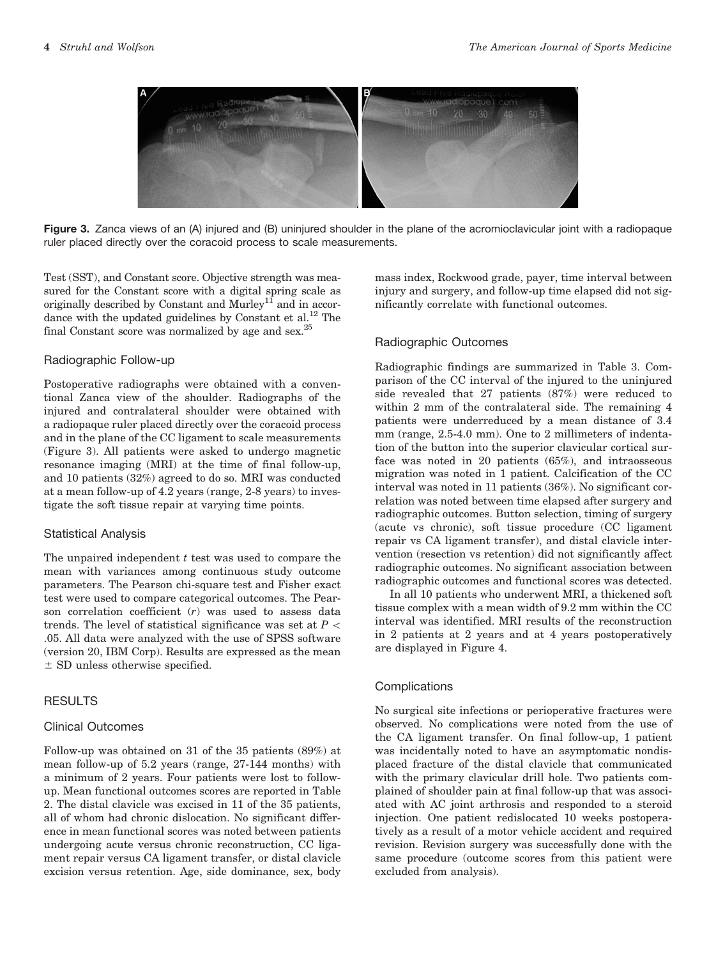

Figure 3. Zanca views of an (A) injured and (B) uninjured shoulder in the plane of the acromioclavicular joint with a radiopaque ruler placed directly over the coracoid process to scale measurements.

Test (SST), and Constant score. Objective strength was measured for the Constant score with a digital spring scale as originally described by Constant and  $M$ urley<sup>11</sup> and in accordance with the updated guidelines by Constant et al.<sup>12</sup> The final Constant score was normalized by age and sex.25

## Radiographic Follow-up

Postoperative radiographs were obtained with a conventional Zanca view of the shoulder. Radiographs of the injured and contralateral shoulder were obtained with a radiopaque ruler placed directly over the coracoid process and in the plane of the CC ligament to scale measurements (Figure 3). All patients were asked to undergo magnetic resonance imaging (MRI) at the time of final follow-up, and 10 patients (32%) agreed to do so. MRI was conducted at a mean follow-up of 4.2 years (range, 2-8 years) to investigate the soft tissue repair at varying time points.

#### Statistical Analysis

The unpaired independent  $t$  test was used to compare the mean with variances among continuous study outcome parameters. The Pearson chi-square test and Fisher exact test were used to compare categorical outcomes. The Pearson correlation coefficient (r) was used to assess data trends. The level of statistical significance was set at  $P \lt \mathbb{R}$ .05. All data were analyzed with the use of SPSS software (version 20, IBM Corp). Results are expressed as the mean  $\pm$  SD unless otherwise specified.

## **RESULTS**

## Clinical Outcomes

Follow-up was obtained on 31 of the 35 patients (89%) at mean follow-up of 5.2 years (range, 27-144 months) with a minimum of 2 years. Four patients were lost to followup. Mean functional outcomes scores are reported in Table 2. The distal clavicle was excised in 11 of the 35 patients, all of whom had chronic dislocation. No significant difference in mean functional scores was noted between patients undergoing acute versus chronic reconstruction, CC ligament repair versus CA ligament transfer, or distal clavicle excision versus retention. Age, side dominance, sex, body mass index, Rockwood grade, payer, time interval between injury and surgery, and follow-up time elapsed did not significantly correlate with functional outcomes.

# Radiographic Outcomes

Radiographic findings are summarized in Table 3. Comparison of the CC interval of the injured to the uninjured side revealed that 27 patients (87%) were reduced to within 2 mm of the contralateral side. The remaining 4 patients were underreduced by a mean distance of 3.4 mm (range, 2.5-4.0 mm). One to 2 millimeters of indentation of the button into the superior clavicular cortical surface was noted in 20 patients (65%), and intraosseous migration was noted in 1 patient. Calcification of the CC interval was noted in 11 patients (36%). No significant correlation was noted between time elapsed after surgery and radiographic outcomes. Button selection, timing of surgery (acute vs chronic), soft tissue procedure (CC ligament repair vs CA ligament transfer), and distal clavicle intervention (resection vs retention) did not significantly affect radiographic outcomes. No significant association between radiographic outcomes and functional scores was detected.

In all 10 patients who underwent MRI, a thickened soft tissue complex with a mean width of 9.2 mm within the CC interval was identified. MRI results of the reconstruction in 2 patients at 2 years and at 4 years postoperatively are displayed in Figure 4.

## **Complications**

No surgical site infections or perioperative fractures were observed. No complications were noted from the use of the CA ligament transfer. On final follow-up, 1 patient was incidentally noted to have an asymptomatic nondisplaced fracture of the distal clavicle that communicated with the primary clavicular drill hole. Two patients complained of shoulder pain at final follow-up that was associated with AC joint arthrosis and responded to a steroid injection. One patient redislocated 10 weeks postoperatively as a result of a motor vehicle accident and required revision. Revision surgery was successfully done with the same procedure (outcome scores from this patient were excluded from analysis).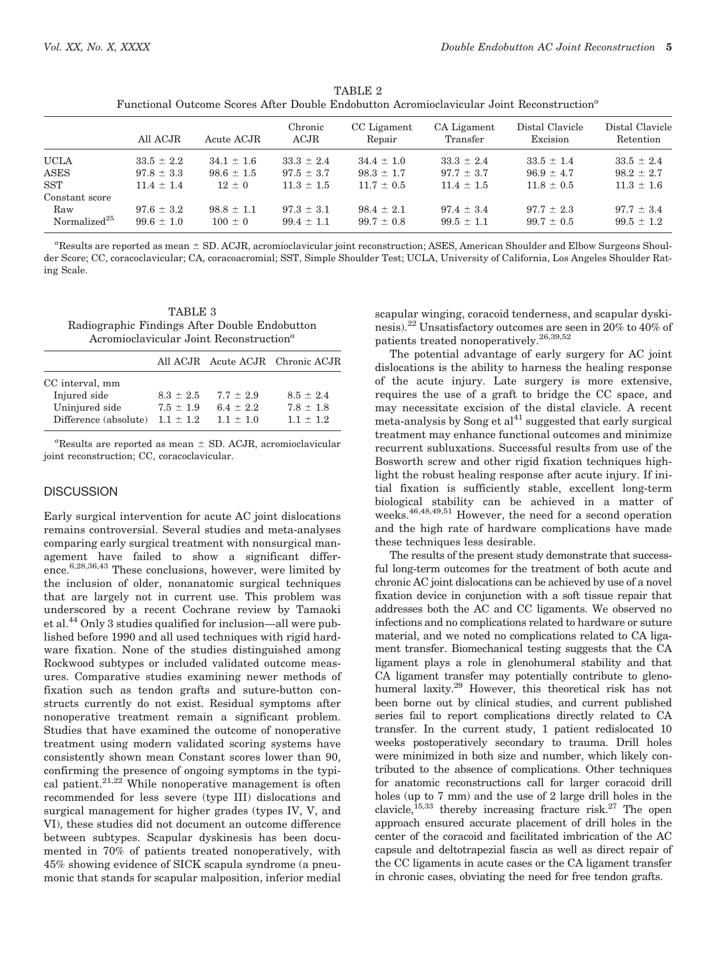| r uncuonal Outcome Scores Arter Double Engobutton Acromiociavicular John Reconstruction |                |                |                 |                       |                         |                             |                              |
|-----------------------------------------------------------------------------------------|----------------|----------------|-----------------|-----------------------|-------------------------|-----------------------------|------------------------------|
|                                                                                         | All ACJR       | Acute ACJR     | Chronic<br>ACJR | CC Ligament<br>Repair | CA Ligament<br>Transfer | Distal Clavicle<br>Excision | Distal Clavicle<br>Retention |
| <b>UCLA</b>                                                                             | $33.5 \pm 2.2$ | $34.1 \pm 1.6$ | $33.3 \pm 2.4$  | $34.4 \pm 1.0$        | $33.3 \pm 2.4$          | $33.5 \pm 1.4$              | $33.5 \pm 2.4$               |
| <b>ASES</b>                                                                             | $97.8 \pm 3.3$ | $98.6 \pm 1.5$ | $97.5 \pm 3.7$  | $98.3 \pm 1.7$        | $97.7 \pm 3.7$          | $96.9 \pm 4.7$              | $98.2 \pm 2.7$               |
| <b>SST</b>                                                                              | $11.4 \pm 1.4$ | $12 + 0$       | $11.3 \pm 1.5$  | $11.7 \pm 0.5$        | $11.4 \pm 1.5$          | $11.8 \pm 0.5$              | $11.3 \pm 1.6$               |
| Constant score                                                                          |                |                |                 |                       |                         |                             |                              |
| Raw                                                                                     | $97.6 \pm 3.2$ | $98.8 \pm 1.1$ | $97.3 \pm 3.1$  | $98.4 \pm 2.1$        | $97.4 \pm 3.4$          | $97.7 \pm 2.3$              | $97.7 \pm 3.4$               |
| Normalized <sup>25</sup>                                                                | $99.6 \pm 1.0$ | $100 \pm 0$    | $99.4 \pm 1.1$  | $99.7 \pm 0.8$        | $99.5 \pm 1.1$          | $99.7 \pm 0.5$              | $99.5 \pm 1.2$               |

TABLE 2 Functional Outcome Scores After Double Endobutton Acromioclavicular Joint Reconstruction<sup>a</sup>

 ${}^a$ Results are reported as mean  $\pm$  SD. ACJR, acromioclavicular joint reconstruction; ASES, American Shoulder and Elbow Surgeons Shoulder Score; CC, coracoclavicular; CA, coracoacromial; SST, Simple Shoulder Test; UCLA, University of California, Los Angeles Shoulder Rating Scale.

| TABLE 3                                             |  |  |  |  |  |
|-----------------------------------------------------|--|--|--|--|--|
| Radiographic Findings After Double Endobutton       |  |  |  |  |  |
| Acromioclavicular Joint Reconstruction <sup>a</sup> |  |  |  |  |  |

|                                         |                              |                              | All ACJR Acute ACJR Chronic ACJR |
|-----------------------------------------|------------------------------|------------------------------|----------------------------------|
| CC interval, mm<br>Injured side         | $8.3 \pm 2.5$                | $7.7 \pm 2.9$                | $8.5 + 2.4$                      |
| Uninjured side<br>Difference (absolute) | $7.5 + 1.9$<br>$1.1 \pm 1.2$ | $6.4 \pm 2.2$<br>$1.1 + 1.0$ | $7.8 + 1.8$<br>$1.1 + 1.2$       |

 ${}^a\text{Results}$  are reported as mean  $\pm$  SD. ACJR, acromioclavicular joint reconstruction; CC, coracoclavicular.

## **DISCUSSION**

Early surgical intervention for acute AC joint dislocations remains controversial. Several studies and meta-analyses comparing early surgical treatment with nonsurgical management have failed to show a significant difference.6,28,36,43 These conclusions, however, were limited by the inclusion of older, nonanatomic surgical techniques that are largely not in current use. This problem was underscored by a recent Cochrane review by Tamaoki et al.44 Only 3 studies qualified for inclusion—all were published before 1990 and all used techniques with rigid hardware fixation. None of the studies distinguished among Rockwood subtypes or included validated outcome measures. Comparative studies examining newer methods of fixation such as tendon grafts and suture-button constructs currently do not exist. Residual symptoms after nonoperative treatment remain a significant problem. Studies that have examined the outcome of nonoperative treatment using modern validated scoring systems have consistently shown mean Constant scores lower than 90, confirming the presence of ongoing symptoms in the typical patient. $21,22$  While nonoperative management is often recommended for less severe (type III) dislocations and surgical management for higher grades (types IV, V, and VI), these studies did not document an outcome difference between subtypes. Scapular dyskinesis has been documented in 70% of patients treated nonoperatively, with 45% showing evidence of SICK scapula syndrome (a pneumonic that stands for scapular malposition, inferior medial

scapular winging, coracoid tenderness, and scapular dyskinesis).<sup>22</sup> Unsatisfactory outcomes are seen in 20% to 40% of patients treated nonoperatively.26,39,52

The potential advantage of early surgery for AC joint dislocations is the ability to harness the healing response of the acute injury. Late surgery is more extensive, requires the use of a graft to bridge the CC space, and may necessitate excision of the distal clavicle. A recent  $meta$ -analysis by Song et al<sup>41</sup> suggested that early surgical treatment may enhance functional outcomes and minimize recurrent subluxations. Successful results from use of the Bosworth screw and other rigid fixation techniques highlight the robust healing response after acute injury. If initial fixation is sufficiently stable, excellent long-term biological stability can be achieved in a matter of weeks.<sup>46,48,49,51</sup> However, the need for a second operation and the high rate of hardware complications have made these techniques less desirable.

The results of the present study demonstrate that successful long-term outcomes for the treatment of both acute and chronic AC joint dislocations can be achieved by use of a novel fixation device in conjunction with a soft tissue repair that addresses both the AC and CC ligaments. We observed no infections and no complications related to hardware or suture material, and we noted no complications related to CA ligament transfer. Biomechanical testing suggests that the CA ligament plays a role in glenohumeral stability and that CA ligament transfer may potentially contribute to glenohumeral laxity.29 However, this theoretical risk has not been borne out by clinical studies, and current published series fail to report complications directly related to CA transfer. In the current study, 1 patient redislocated 10 weeks postoperatively secondary to trauma. Drill holes were minimized in both size and number, which likely contributed to the absence of complications. Other techniques for anatomic reconstructions call for larger coracoid drill holes (up to 7 mm) and the use of 2 large drill holes in the clavicle,<sup>15,33</sup> thereby increasing fracture risk.<sup>27</sup> The open approach ensured accurate placement of drill holes in the center of the coracoid and facilitated imbrication of the AC capsule and deltotrapezial fascia as well as direct repair of the CC ligaments in acute cases or the CA ligament transfer in chronic cases, obviating the need for free tendon grafts.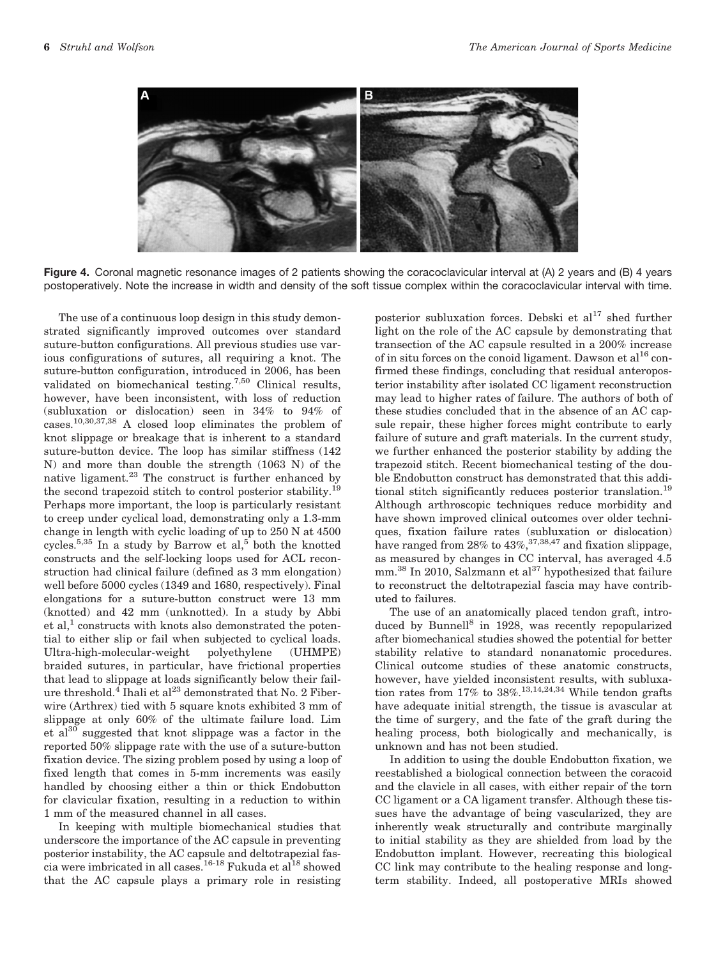

Figure 4. Coronal magnetic resonance images of 2 patients showing the coracoclavicular interval at (A) 2 years and (B) 4 years postoperatively. Note the increase in width and density of the soft tissue complex within the coracoclavicular interval with time.

The use of a continuous loop design in this study demonstrated significantly improved outcomes over standard suture-button configurations. All previous studies use various configurations of sutures, all requiring a knot. The suture-button configuration, introduced in 2006, has been validated on biomechanical testing.7,50 Clinical results, however, have been inconsistent, with loss of reduction (subluxation or dislocation) seen in 34% to 94% of cases.10,30,37,38 A closed loop eliminates the problem of knot slippage or breakage that is inherent to a standard suture-button device. The loop has similar stiffness (142 N) and more than double the strength (1063 N) of the native ligament.23 The construct is further enhanced by the second trapezoid stitch to control posterior stability.<sup>19</sup> Perhaps more important, the loop is particularly resistant to creep under cyclical load, demonstrating only a 1.3-mm change in length with cyclic loading of up to 250 N at 4500 cycles.<sup>5,35</sup> In a study by Barrow et al,<sup>5</sup> both the knotted constructs and the self-locking loops used for ACL reconstruction had clinical failure (defined as 3 mm elongation) well before 5000 cycles (1349 and 1680, respectively). Final elongations for a suture-button construct were 13 mm (knotted) and 42 mm (unknotted). In a study by Abbi et al,<sup>1</sup> constructs with knots also demonstrated the potential to either slip or fail when subjected to cyclical loads. Ultra-high-molecular-weight polyethylene (UHMPE) braided sutures, in particular, have frictional properties that lead to slippage at loads significantly below their failure threshold.<sup>4</sup> Ihali et al<sup>23</sup> demonstrated that No. 2 Fiberwire (Arthrex) tied with 5 square knots exhibited 3 mm of slippage at only 60% of the ultimate failure load. Lim et  $al^{30}$  suggested that knot slippage was a factor in the reported 50% slippage rate with the use of a suture-button fixation device. The sizing problem posed by using a loop of fixed length that comes in 5-mm increments was easily handled by choosing either a thin or thick Endobutton for clavicular fixation, resulting in a reduction to within 1 mm of the measured channel in all cases.

In keeping with multiple biomechanical studies that underscore the importance of the AC capsule in preventing posterior instability, the AC capsule and deltotrapezial fascia were imbricated in all cases.<sup>16-18</sup> Fukuda et al<sup>18</sup> showed that the AC capsule plays a primary role in resisting

posterior subluxation forces. Debski et  $al^{17}$  shed further light on the role of the AC capsule by demonstrating that transection of the AC capsule resulted in a 200% increase of in situ forces on the conoid ligament. Dawson et al<sup>16</sup> confirmed these findings, concluding that residual anteroposterior instability after isolated CC ligament reconstruction may lead to higher rates of failure. The authors of both of these studies concluded that in the absence of an AC capsule repair, these higher forces might contribute to early failure of suture and graft materials. In the current study, we further enhanced the posterior stability by adding the trapezoid stitch. Recent biomechanical testing of the double Endobutton construct has demonstrated that this additional stitch significantly reduces posterior translation.<sup>19</sup> Although arthroscopic techniques reduce morbidity and have shown improved clinical outcomes over older techniques, fixation failure rates (subluxation or dislocation) have ranged from  $28\%$  to  $43\%,$ <sup>37,38,47</sup> and fixation slippage, as measured by changes in CC interval, has averaged 4.5 mm.<sup>38</sup> In 2010, Salzmann et al<sup>37</sup> hypothesized that failure to reconstruct the deltotrapezial fascia may have contributed to failures.

The use of an anatomically placed tendon graft, introduced by Bunnell<sup>8</sup> in 1928, was recently repopularized after biomechanical studies showed the potential for better stability relative to standard nonanatomic procedures. Clinical outcome studies of these anatomic constructs, however, have yielded inconsistent results, with subluxation rates from  $17\%$  to  $38\%.$ <sup>13,14,24,34</sup> While tendon grafts have adequate initial strength, the tissue is avascular at the time of surgery, and the fate of the graft during the healing process, both biologically and mechanically, is unknown and has not been studied.

In addition to using the double Endobutton fixation, we reestablished a biological connection between the coracoid and the clavicle in all cases, with either repair of the torn CC ligament or a CA ligament transfer. Although these tissues have the advantage of being vascularized, they are inherently weak structurally and contribute marginally to initial stability as they are shielded from load by the Endobutton implant. However, recreating this biological CC link may contribute to the healing response and longterm stability. Indeed, all postoperative MRIs showed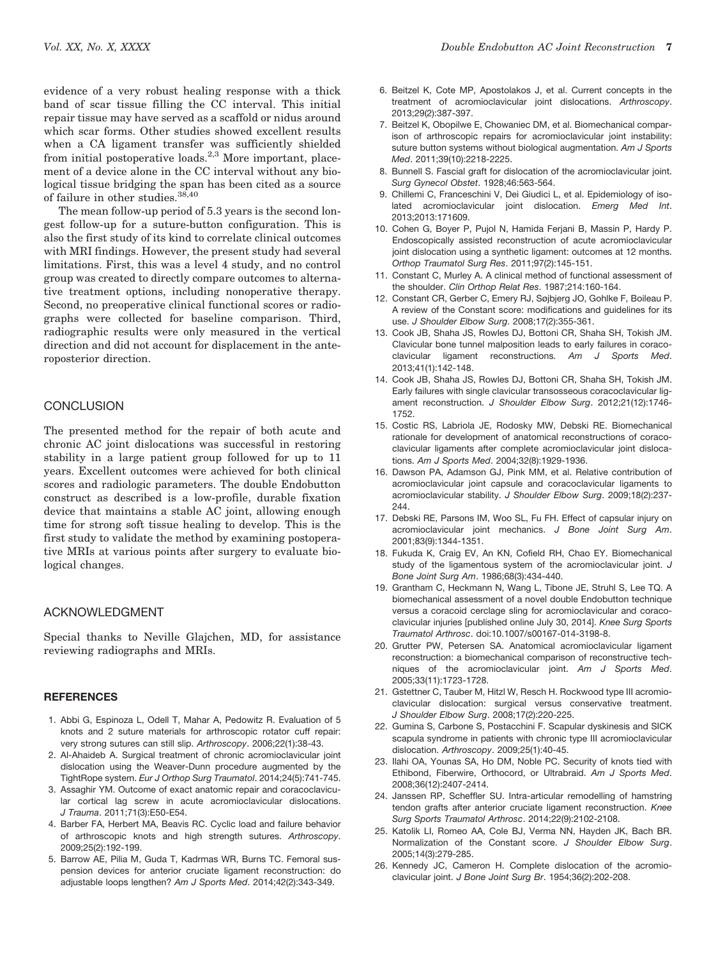evidence of a very robust healing response with a thick band of scar tissue filling the CC interval. This initial repair tissue may have served as a scaffold or nidus around which scar forms. Other studies showed excellent results when a CA ligament transfer was sufficiently shielded from initial postoperative loads.<sup>2,3</sup> More important, placement of a device alone in the CC interval without any biological tissue bridging the span has been cited as a source of failure in other studies.38,40

The mean follow-up period of 5.3 years is the second longest follow-up for a suture-button configuration. This is also the first study of its kind to correlate clinical outcomes with MRI findings. However, the present study had several limitations. First, this was a level 4 study, and no control group was created to directly compare outcomes to alternative treatment options, including nonoperative therapy. Second, no preoperative clinical functional scores or radiographs were collected for baseline comparison. Third, radiographic results were only measured in the vertical direction and did not account for displacement in the anteroposterior direction.

## **CONCLUSION**

The presented method for the repair of both acute and chronic AC joint dislocations was successful in restoring stability in a large patient group followed for up to 11 years. Excellent outcomes were achieved for both clinical scores and radiologic parameters. The double Endobutton construct as described is a low-profile, durable fixation device that maintains a stable AC joint, allowing enough time for strong soft tissue healing to develop. This is the first study to validate the method by examining postoperative MRIs at various points after surgery to evaluate biological changes.

## ACKNOWLEDGMENT

Special thanks to Neville Glajchen, MD, for assistance reviewing radiographs and MRIs.

#### **REFERENCES**

- 1. Abbi G, Espinoza L, Odell T, Mahar A, Pedowitz R. Evaluation of 5 knots and 2 suture materials for arthroscopic rotator cuff repair: very strong sutures can still slip. *Arthroscopy*. 2006;22(1):38-43.
- 2. Al-Ahaideb A. Surgical treatment of chronic acromioclavicular joint dislocation using the Weaver-Dunn procedure augmented by the TightRope system. *Eur J Orthop Surg Traumatol*. 2014;24(5):741-745.
- 3. Assaghir YM. Outcome of exact anatomic repair and coracoclavicular cortical lag screw in acute acromioclavicular dislocations. *J Trauma*. 2011;71(3):E50-E54.
- 4. Barber FA, Herbert MA, Beavis RC. Cyclic load and failure behavior of arthroscopic knots and high strength sutures. *Arthroscopy*. 2009;25(2):192-199.
- 5. Barrow AE, Pilia M, Guda T, Kadrmas WR, Burns TC. Femoral suspension devices for anterior cruciate ligament reconstruction: do adjustable loops lengthen? *Am J Sports Med*. 2014;42(2):343-349.
- 6. Beitzel K, Cote MP, Apostolakos J, et al. Current concepts in the treatment of acromioclavicular joint dislocations. *Arthroscopy*. 2013;29(2):387-397.
- 7. Beitzel K, Obopilwe E, Chowaniec DM, et al. Biomechanical comparison of arthroscopic repairs for acromioclavicular joint instability: suture button systems without biological augmentation. *Am J Sports Med*. 2011;39(10):2218-2225.
- 8. Bunnell S. Fascial graft for dislocation of the acromioclavicular joint. *Surg Gynecol Obstet*. 1928;46:563-564.
- 9. Chillemi C, Franceschini V, Dei Giudici L, et al. Epidemiology of isolated acromioclavicular joint dislocation. *Emerg Med Int*. 2013;2013:171609.
- 10. Cohen G, Boyer P, Pujol N, Hamida Ferjani B, Massin P, Hardy P. Endoscopically assisted reconstruction of acute acromioclavicular joint dislocation using a synthetic ligament: outcomes at 12 months. *Orthop Traumatol Surg Res*. 2011;97(2):145-151.
- 11. Constant C, Murley A. A clinical method of functional assessment of the shoulder. *Clin Orthop Relat Res*. 1987;214:160-164.
- 12. Constant CR, Gerber C, Emery RJ, Søjbjerg JO, Gohlke F, Boileau P. A review of the Constant score: modifications and guidelines for its use. *J Shoulder Elbow Surg*. 2008;17(2):355-361.
- 13. Cook JB, Shaha JS, Rowles DJ, Bottoni CR, Shaha SH, Tokish JM. Clavicular bone tunnel malposition leads to early failures in coracoclavicular ligament reconstructions. *Am J Sports Med*. 2013;41(1):142-148.
- 14. Cook JB, Shaha JS, Rowles DJ, Bottoni CR, Shaha SH, Tokish JM. Early failures with single clavicular transosseous coracoclavicular ligament reconstruction. *J Shoulder Elbow Surg*. 2012;21(12):1746- 1752.
- 15. Costic RS, Labriola JE, Rodosky MW, Debski RE. Biomechanical rationale for development of anatomical reconstructions of coracoclavicular ligaments after complete acromioclavicular joint dislocations. *Am J Sports Med*. 2004;32(8):1929-1936.
- 16. Dawson PA, Adamson GJ, Pink MM, et al. Relative contribution of acromioclavicular joint capsule and coracoclavicular ligaments to acromioclavicular stability. *J Shoulder Elbow Surg*. 2009;18(2):237- 244.
- 17. Debski RE, Parsons IM, Woo SL, Fu FH. Effect of capsular injury on acromioclavicular joint mechanics. *J Bone Joint Surg Am*. 2001;83(9):1344-1351.
- 18. Fukuda K, Craig EV, An KN, Cofield RH, Chao EY. Biomechanical study of the ligamentous system of the acromioclavicular joint. *J Bone Joint Surg Am*. 1986;68(3):434-440.
- 19. Grantham C, Heckmann N, Wang L, Tibone JE, Struhl S, Lee TQ. A biomechanical assessment of a novel double Endobutton technique versus a coracoid cerclage sling for acromioclavicular and coracoclavicular injuries [published online July 30, 2014]. *Knee Surg Sports Traumatol Arthrosc*. doi:10.1007/s00167-014-3198-8.
- 20. Grutter PW, Petersen SA. Anatomical acromioclavicular ligament reconstruction: a biomechanical comparison of reconstructive techniques of the acromioclavicular joint. *Am J Sports Med*. 2005;33(11):1723-1728.
- 21. Gstettner C, Tauber M, Hitzl W, Resch H. Rockwood type III acromioclavicular dislocation: surgical versus conservative treatment. *J Shoulder Elbow Surg*. 2008;17(2):220-225.
- 22. Gumina S, Carbone S, Postacchini F. Scapular dyskinesis and SICK scapula syndrome in patients with chronic type III acromioclavicular dislocation. *Arthroscopy*. 2009;25(1):40-45.
- 23. Ilahi OA, Younas SA, Ho DM, Noble PC. Security of knots tied with Ethibond, Fiberwire, Orthocord, or Ultrabraid. *Am J Sports Med*. 2008;36(12):2407-2414.
- 24. Janssen RP, Scheffler SU. Intra-articular remodelling of hamstring tendon grafts after anterior cruciate ligament reconstruction. *Knee Surg Sports Traumatol Arthrosc*. 2014;22(9):2102-2108.
- 25. Katolik LI, Romeo AA, Cole BJ, Verma NN, Hayden JK, Bach BR. Normalization of the Constant score. *J Shoulder Elbow Surg*. 2005;14(3):279-285.
- 26. Kennedy JC, Cameron H. Complete dislocation of the acromioclavicular joint. *J Bone Joint Surg Br*. 1954;36(2):202-208.